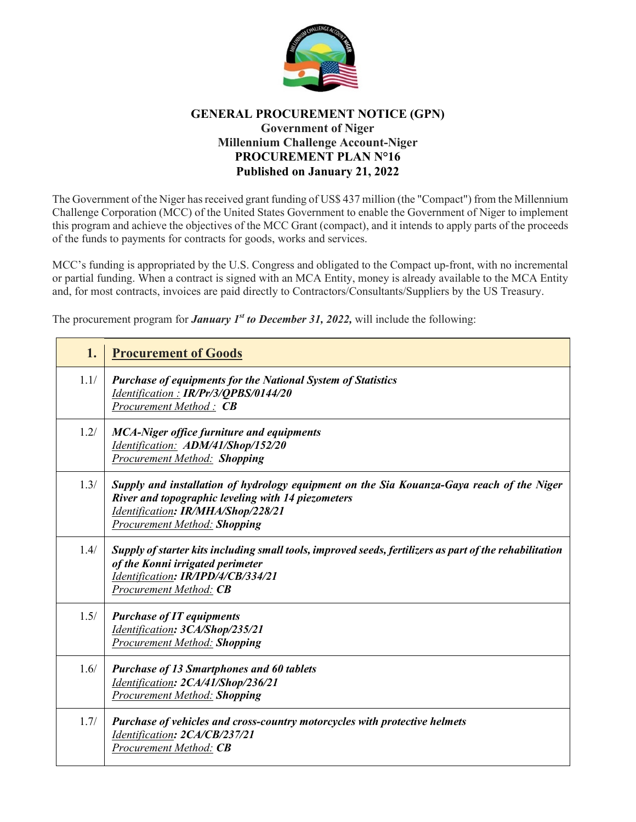

## **GENERAL PROCUREMENT NOTICE (GPN) Government of Niger Millennium Challenge Account-Niger PROCUREMENT PLAN N°16 Published on January 21, 2022**

The Government of the Niger has received grant funding of US\$ 437 million (the "Compact") from the Millennium Challenge Corporation (MCC) of the United States Government to enable the Government of Niger to implement this program and achieve the objectives of the MCC Grant (compact), and it intends to apply parts of the proceeds of the funds to payments for contracts for goods, works and services.

MCC's funding is appropriated by the U.S. Congress and obligated to the Compact up-front, with no incremental or partial funding. When a contract is signed with an MCA Entity, money is already available to the MCA Entity and, for most contracts, invoices are paid directly to Contractors/Consultants/Suppliers by the US Treasury.

The procurement program for *January 1st to December 31, 2022,* will include the following:

| 1.   | <b>Procurement of Goods</b>                                                                                                                                                                                                  |
|------|------------------------------------------------------------------------------------------------------------------------------------------------------------------------------------------------------------------------------|
| 1.1/ | <b>Purchase of equipments for the National System of Statistics</b><br>Identification: IR/Pr/3/QPBS/0144/20<br>Procurement Method: CB                                                                                        |
| 1.2/ | <b>MCA-Niger office furniture and equipments</b><br>Identification: ADM/41/Shop/152/20<br><b>Procurement Method: Shopping</b>                                                                                                |
| 1.3/ | Supply and installation of hydrology equipment on the Sia Kouanza-Gaya reach of the Niger<br>River and topographic leveling with 14 piezometers<br>Identification: IR/MHA/Shop/228/21<br><b>Procurement Method: Shopping</b> |
| 1.4/ | Supply of starter kits including small tools, improved seeds, fertilizers as part of the rehabilitation<br>of the Konni irrigated perimeter<br>Identification: IR/IPD/4/CB/334/21<br><b>Procurement Method: CB</b>           |
| 1.5/ | <b>Purchase of IT equipments</b><br>Identification: 3CA/Shop/235/21<br><b>Procurement Method: Shopping</b>                                                                                                                   |
| 1.6/ | <b>Purchase of 13 Smartphones and 60 tablets</b><br>Identification: 2CA/41/Shop/236/21<br><b>Procurement Method: Shopping</b>                                                                                                |
| 1.7/ | Purchase of vehicles and cross-country motorcycles with protective helmets<br>Identification: 2CA/CB/237/21<br>Procurement Method: CB                                                                                        |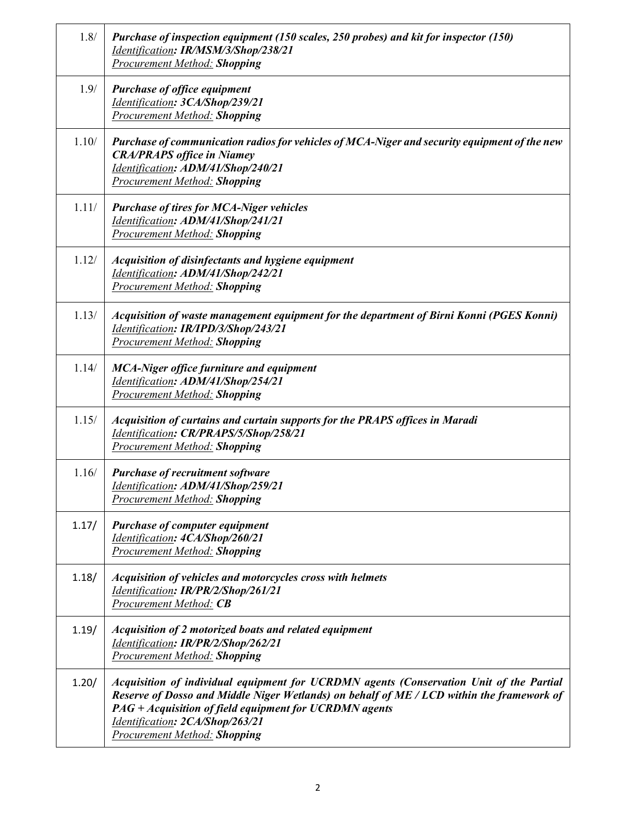| 1.8/  | Purchase of inspection equipment (150 scales, 250 probes) and kit for inspector (150)<br>Identification: IR/MSM/3/Shop/238/21<br><b>Procurement Method: Shopping</b>                                                                                                                                                              |
|-------|-----------------------------------------------------------------------------------------------------------------------------------------------------------------------------------------------------------------------------------------------------------------------------------------------------------------------------------|
| 1.9/  | <b>Purchase of office equipment</b><br>Identification: 3CA/Shop/239/21<br><b>Procurement Method: Shopping</b>                                                                                                                                                                                                                     |
| 1.10/ | Purchase of communication radios for vehicles of MCA-Niger and security equipment of the new<br><b>CRA/PRAPS</b> office in Niamey<br>Identification: ADM/41/Shop/240/21<br><b>Procurement Method: Shopping</b>                                                                                                                    |
| 1.11/ | <b>Purchase of tires for MCA-Niger vehicles</b><br>Identification: ADM/41/Shop/241/21<br><b>Procurement Method: Shopping</b>                                                                                                                                                                                                      |
| 1.12/ | Acquisition of disinfectants and hygiene equipment<br>Identification: ADM/41/Shop/242/21<br><b>Procurement Method: Shopping</b>                                                                                                                                                                                                   |
| 1.13/ | Acquisition of waste management equipment for the department of Birni Konni (PGES Konni)<br>Identification: IR/IPD/3/Shop/243/21<br><b>Procurement Method: Shopping</b>                                                                                                                                                           |
| 1.14/ | <b>MCA-Niger office furniture and equipment</b><br>Identification: ADM/41/Shop/254/21<br><b>Procurement Method: Shopping</b>                                                                                                                                                                                                      |
| 1.15/ | Acquisition of curtains and curtain supports for the PRAPS offices in Maradi<br>Identification: CR/PRAPS/5/Shop/258/21<br><b>Procurement Method: Shopping</b>                                                                                                                                                                     |
| 1.16/ | <b>Purchase of recruitment software</b><br>Identification: ADM/41/Shop/259/21<br><b>Procurement Method: Shopping</b>                                                                                                                                                                                                              |
| 1.17/ | <b>Purchase of computer equipment</b><br>Identification: 4CA/Shop/260/21<br><b>Procurement Method: Shopping</b>                                                                                                                                                                                                                   |
| 1.18/ | Acquisition of vehicles and motorcycles cross with helmets<br>Identification: IR/PR/2/Shop/261/21<br><b>Procurement Method: CB</b>                                                                                                                                                                                                |
| 1.19/ | Acquisition of 2 motorized boats and related equipment<br>Identification: IR/PR/2/Shop/262/21<br><b>Procurement Method: Shopping</b>                                                                                                                                                                                              |
| 1.20/ | Acquisition of individual equipment for UCRDMN agents (Conservation Unit of the Partial<br>Reserve of Dosso and Middle Niger Wetlands) on behalf of ME / LCD within the framework of<br>$PAG + \text{Acquisition of field equipment for UCRDMN agents}$<br>Identification: 2CA/Shop/263/21<br><b>Procurement Method: Shopping</b> |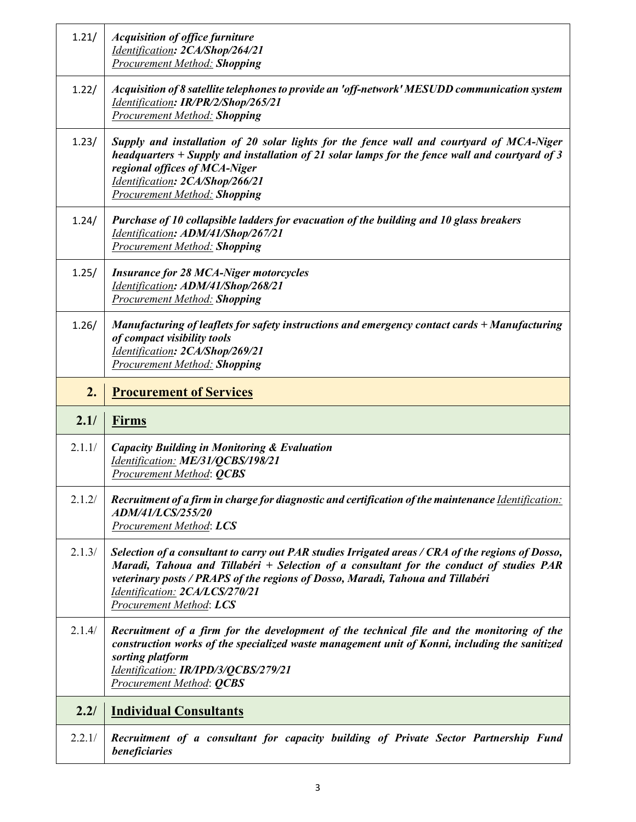| 1.21/  | <b>Acquisition of office furniture</b><br>Identification: 2CA/Shop/264/21<br><b>Procurement Method: Shopping</b>                                                                                                                                                                                                                                   |  |
|--------|----------------------------------------------------------------------------------------------------------------------------------------------------------------------------------------------------------------------------------------------------------------------------------------------------------------------------------------------------|--|
| 1.22/  | Acquisition of 8 satellite telephones to provide an 'off-network' MESUDD communication system<br>Identification: IR/PR/2/Shop/265/21<br><b>Procurement Method: Shopping</b>                                                                                                                                                                        |  |
| 1.23/  | Supply and installation of 20 solar lights for the fence wall and courtyard of MCA-Niger<br>headquarters $+$ Supply and installation of 21 solar lamps for the fence wall and courtyard of 3<br>regional offices of MCA-Niger<br>Identification: 2CA/Shop/266/21<br><b>Procurement Method: Shopping</b>                                            |  |
| 1.24/  | Purchase of 10 collapsible ladders for evacuation of the building and 10 glass breakers<br>Identification: ADM/41/Shop/267/21<br><b>Procurement Method: Shopping</b>                                                                                                                                                                               |  |
| 1.25/  | <b>Insurance for 28 MCA-Niger motorcycles</b><br>Identification: ADM/41/Shop/268/21<br><b>Procurement Method: Shopping</b>                                                                                                                                                                                                                         |  |
| 1.26/  | Manufacturing of leaflets for safety instructions and emergency contact cards + Manufacturing<br>of compact visibility tools<br>Identification: 2CA/Shop/269/21<br><b>Procurement Method: Shopping</b>                                                                                                                                             |  |
| 2.     | <b>Procurement of Services</b>                                                                                                                                                                                                                                                                                                                     |  |
|        |                                                                                                                                                                                                                                                                                                                                                    |  |
| 2.1/   | <b>Firms</b>                                                                                                                                                                                                                                                                                                                                       |  |
| 2.1.1/ | <b>Capacity Building in Monitoring &amp; Evaluation</b><br>Identification: ME/31/QCBS/198/21<br><b>Procurement Method: QCBS</b>                                                                                                                                                                                                                    |  |
| 2.1.2/ | Recruitment of a firm in charge for diagnostic and certification of the maintenance Identification:<br>ADM/41/LCS/255/20<br>Procurement Method: LCS                                                                                                                                                                                                |  |
| 2.1.3/ | Selection of a consultant to carry out PAR studies Irrigated areas / CRA of the regions of Dosso,<br>Maradi, Tahoua and Tillabéri + Selection of a consultant for the conduct of studies PAR<br>veterinary posts / PRAPS of the regions of Dosso, Maradi, Tahoua and Tillabéri<br>Identification: 2CA/LCS/270/21<br><b>Procurement Method: LCS</b> |  |
| 2.1.4/ | Recruitment of a firm for the development of the technical file and the monitoring of the<br>construction works of the specialized waste management unit of Konni, including the sanitized<br>sorting platform<br>Identification: IR/IPD/3/QCBS/279/21<br><b>Procurement Method: QCBS</b>                                                          |  |
| 2.2/   | <b>Individual Consultants</b>                                                                                                                                                                                                                                                                                                                      |  |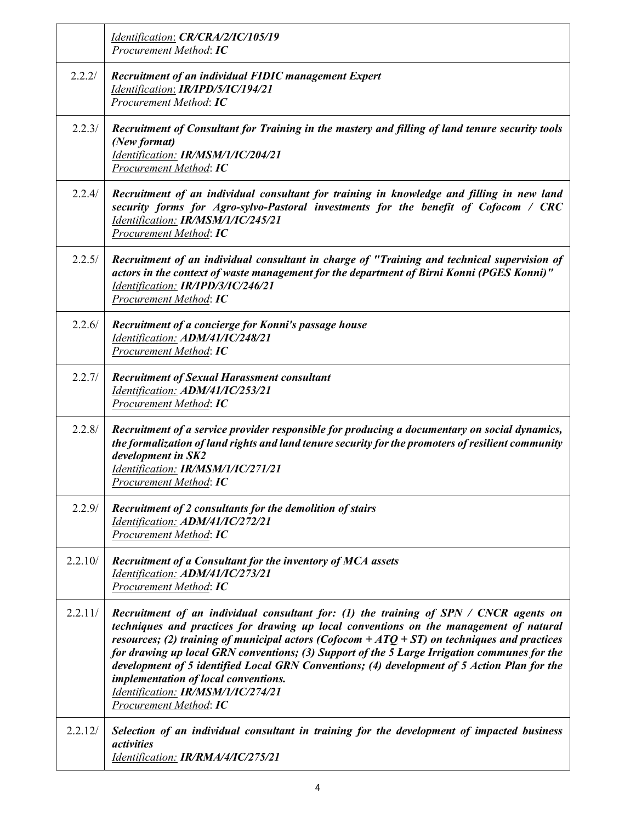|         | Identification: CR/CRA/2/IC/105/19<br>Procurement Method: IC                                                                                                                                                                                                                                                                                                                                                                                                                                                                                                                                  |
|---------|-----------------------------------------------------------------------------------------------------------------------------------------------------------------------------------------------------------------------------------------------------------------------------------------------------------------------------------------------------------------------------------------------------------------------------------------------------------------------------------------------------------------------------------------------------------------------------------------------|
| 2.2.2/  | Recruitment of an individual FIDIC management Expert<br>Identification: IR/IPD/5/IC/194/21<br>Procurement Method: IC                                                                                                                                                                                                                                                                                                                                                                                                                                                                          |
| 2.2.3/  | Recruitment of Consultant for Training in the mastery and filling of land tenure security tools<br>(New format)<br>Identification: IR/MSM/1/IC/204/21<br><b>Procurement Method: IC</b>                                                                                                                                                                                                                                                                                                                                                                                                        |
| 2.2.4/  | Recruitment of an individual consultant for training in knowledge and filling in new land<br>security forms for Agro-sylvo-Pastoral investments for the benefit of Cofocom / CRC<br>Identification: IR/MSM/1/IC/245/21<br>Procurement Method: IC                                                                                                                                                                                                                                                                                                                                              |
| 2.2.5/  | Recruitment of an individual consultant in charge of "Training and technical supervision of<br>actors in the context of waste management for the department of Birni Konni (PGES Konni)"<br>Identification: IR/IPD/3/IC/246/21<br>Procurement Method: IC                                                                                                                                                                                                                                                                                                                                      |
| 2.2.6/  | Recruitment of a concierge for Konni's passage house<br>Identification: ADM/41/IC/248/21<br>Procurement Method: IC                                                                                                                                                                                                                                                                                                                                                                                                                                                                            |
| 2.2.7/  | <b>Recruitment of Sexual Harassment consultant</b><br>Identification: ADM/41/IC/253/21<br>Procurement Method: IC                                                                                                                                                                                                                                                                                                                                                                                                                                                                              |
| 2.2.8/  | Recruitment of a service provider responsible for producing a documentary on social dynamics,<br>the formalization of land rights and land tenure security for the promoters of resilient community<br>development in SK2<br>Identification: IR/MSM/1/IC/271/21<br>Procurement Method: IC                                                                                                                                                                                                                                                                                                     |
| 2.2.9/  | Recruitment of 2 consultants for the demolition of stairs<br>Identification: ADM/41/IC/272/21<br>Procurement Method: IC                                                                                                                                                                                                                                                                                                                                                                                                                                                                       |
| 2.2.10/ | <b>Recruitment of a Consultant for the inventory of MCA assets</b><br>Identification: ADM/41/IC/273/21<br>Procurement Method: IC                                                                                                                                                                                                                                                                                                                                                                                                                                                              |
| 2.2.11/ | Recruitment of an individual consultant for: (1) the training of SPN / CNCR agents on<br>techniques and practices for drawing up local conventions on the management of natural<br>resources; (2) training of municipal actors (Cofocom $+ATQ+ST$ ) on techniques and practices<br>for drawing up local GRN conventions; (3) Support of the 5 Large Irrigation communes for the<br>development of 5 identified Local GRN Conventions; (4) development of 5 Action Plan for the<br>implementation of local conventions.<br>Identification: IR/MSM/1/IC/274/21<br><b>Procurement Method: IC</b> |
| 2.2.12/ | Selection of an individual consultant in training for the development of impacted business<br><i>activities</i><br>Identification: IR/RMA/4/IC/275/21                                                                                                                                                                                                                                                                                                                                                                                                                                         |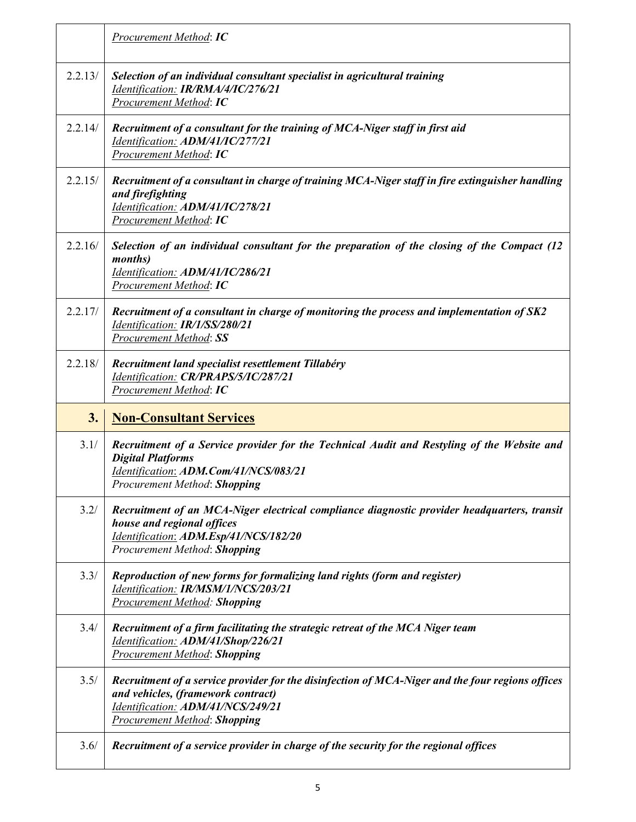|         | <b>Procurement Method: IC</b>                                                                                                                                                                                      |
|---------|--------------------------------------------------------------------------------------------------------------------------------------------------------------------------------------------------------------------|
| 2.2.13/ | Selection of an individual consultant specialist in agricultural training<br>Identification: IR/RMA/4/IC/276/21<br>Procurement Method: IC                                                                          |
| 2.2.14/ | Recruitment of a consultant for the training of MCA-Niger staff in first aid<br>Identification: ADM/41/IC/277/21<br><b>Procurement Method: IC</b>                                                                  |
| 2.2.15/ | Recruitment of a consultant in charge of training MCA-Niger staff in fire extinguisher handling<br>and firefighting<br>Identification: ADM/41/IC/278/21<br><b>Procurement Method: IC</b>                           |
| 2.2.16/ | Selection of an individual consultant for the preparation of the closing of the Compact (12<br><i>months</i> )<br>Identification: ADM/41/IC/286/21<br>Procurement Method: IC                                       |
| 2.2.17/ | Recruitment of a consultant in charge of monitoring the process and implementation of SK2<br>Identification: IR/1/SS/280/21<br><b>Procurement Method: SS</b>                                                       |
| 2.2.18/ | Recruitment land specialist resettlement Tillabéry<br>Identification: CR/PRAPS/5/IC/287/21<br><b>Procurement Method: IC</b>                                                                                        |
|         |                                                                                                                                                                                                                    |
| 3.      | <b>Non-Consultant Services</b>                                                                                                                                                                                     |
| 3.1/    | Recruitment of a Service provider for the Technical Audit and Restyling of the Website and<br><b>Digital Platforms</b><br>Identification: ADM.Com/41/NCS/083/21<br>Procurement Method: Shopping                    |
| 3.2/    | Recruitment of an MCA-Niger electrical compliance diagnostic provider headquarters, transit<br>house and regional offices<br>Identification: ADM.Esp/41/NCS/182/20<br>Procurement Method: Shopping                 |
| 3.3/    | Reproduction of new forms for formalizing land rights (form and register)<br>Identification: IR/MSM/1/NCS/203/21<br><b>Procurement Method: Shopping</b>                                                            |
| 3.4/    | Recruitment of a firm facilitating the strategic retreat of the MCA Niger team<br>Identification: ADM/41/Shop/226/21<br><b>Procurement Method: Shopping</b>                                                        |
| 3.5/    | Recruitment of a service provider for the disinfection of MCA-Niger and the four regions offices<br>and vehicles, (framework contract)<br>Identification: ADM/41/NCS/249/21<br><b>Procurement Method: Shopping</b> |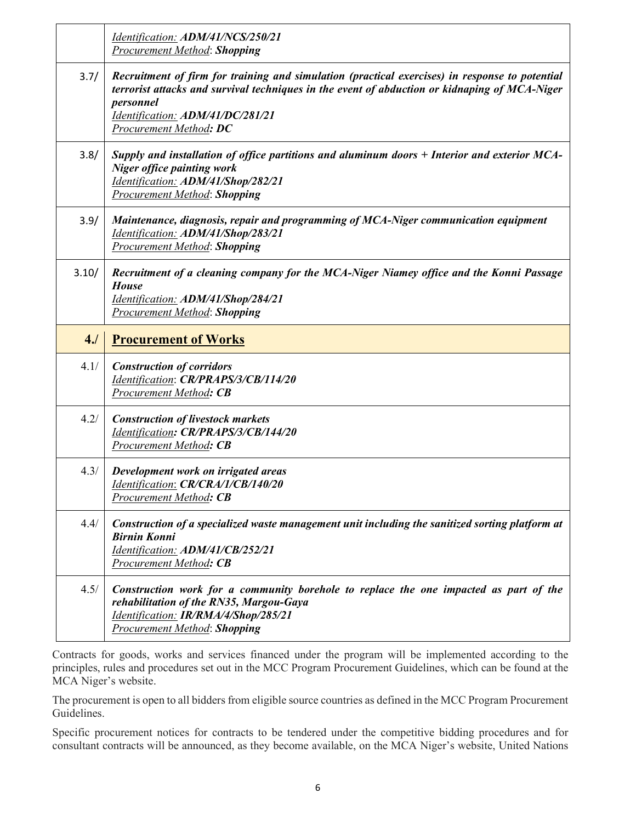|       | Identification: ADM/41/NCS/250/21<br><b>Procurement Method: Shopping</b>                                                                                                                                                                                                   |  |
|-------|----------------------------------------------------------------------------------------------------------------------------------------------------------------------------------------------------------------------------------------------------------------------------|--|
| 3.7/  | Recruitment of firm for training and simulation (practical exercises) in response to potential<br>terrorist attacks and survival techniques in the event of abduction or kidnaping of MCA-Niger<br>personnel<br>Identification: ADM/41/DC/281/21<br>Procurement Method: DC |  |
| 3.8/  | Supply and installation of office partitions and aluminum doors + Interior and exterior MCA-<br><b>Niger office painting work</b><br>Identification: ADM/41/Shop/282/21<br><b>Procurement Method: Shopping</b>                                                             |  |
| 3.9/  | Maintenance, diagnosis, repair and programming of MCA-Niger communication equipment<br>Identification: ADM/41/Shop/283/21<br><b>Procurement Method: Shopping</b>                                                                                                           |  |
| 3.10/ | Recruitment of a cleaning company for the MCA-Niger Niamey office and the Konni Passage<br>House<br>Identification: ADM/41/Shop/284/21<br><b>Procurement Method: Shopping</b>                                                                                              |  |
| 4.1   |                                                                                                                                                                                                                                                                            |  |
|       | <b>Procurement of Works</b>                                                                                                                                                                                                                                                |  |
| 4.1/  | <b>Construction of corridors</b><br>Identification: CR/PRAPS/3/CB/114/20<br>Procurement Method: CB                                                                                                                                                                         |  |
| 4.2/  | <b>Construction of livestock markets</b><br>Identification: CR/PRAPS/3/CB/144/20<br><b>Procurement Method: CB</b>                                                                                                                                                          |  |
| 4.3/  | Development work on irrigated areas<br>Identification: CR/CRA/1/CB/140/20<br>Procurement Method: CB                                                                                                                                                                        |  |
| 4.4/  | Construction of a specialized waste management unit including the sanitized sorting platform at<br><b>Birnin Konni</b><br>Identification: ADM/41/CB/252/21<br><b>Procurement Method: CB</b>                                                                                |  |

Contracts for goods, works and services financed under the program will be implemented according to the principles, rules and procedures set out in the MCC Program Procurement Guidelines, which can be found at the MCA Niger's website.

The procurement is open to all bidders from eligible source countries as defined in the MCC Program Procurement Guidelines.

Specific procurement notices for contracts to be tendered under the competitive bidding procedures and for consultant contracts will be announced, as they become available, on the MCA Niger's website, United Nations